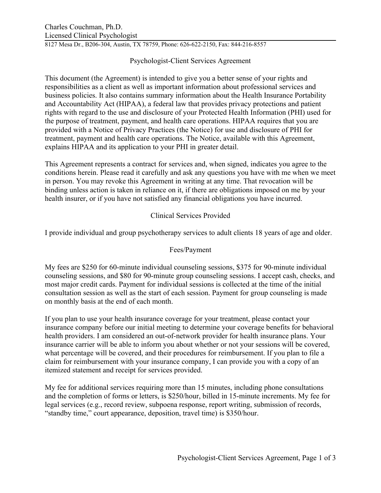8127 Mesa Dr., B206-304, Austin, TX 78759, Phone: 626-622-2150, Fax: 844-216-8557

# Psychologist-Client Services Agreement

This document (the Agreement) is intended to give you a better sense of your rights and responsibilities as a client as well as important information about professional services and business policies. It also contains summary information about the Health Insurance Portability and Accountability Act (HIPAA), a federal law that provides privacy protections and patient rights with regard to the use and disclosure of your Protected Health Information (PHI) used for the purpose of treatment, payment, and health care operations. HIPAA requires that you are provided with a Notice of Privacy Practices (the Notice) for use and disclosure of PHI for treatment, payment and health care operations. The Notice, available with this Agreement, explains HIPAA and its application to your PHI in greater detail.

This Agreement represents a contract for services and, when signed, indicates you agree to the conditions herein. Please read it carefully and ask any questions you have with me when we meet in person. You may revoke this Agreement in writing at any time. That revocation will be binding unless action is taken in reliance on it, if there are obligations imposed on me by your health insurer, or if you have not satisfied any financial obligations you have incurred.

# Clinical Services Provided

I provide individual and group psychotherapy services to adult clients 18 years of age and older.

# Fees/Payment

My fees are \$250 for 60-minute individual counseling sessions, \$375 for 90-minute individual counseling sessions, and \$80 for 90-minute group counseling sessions. I accept cash, checks, and most major credit cards. Payment for individual sessions is collected at the time of the initial consultation session as well as the start of each session. Payment for group counseling is made on monthly basis at the end of each month.

If you plan to use your health insurance coverage for your treatment, please contact your insurance company before our initial meeting to determine your coverage benefits for behavioral health providers. I am considered an out-of-network provider for health insurance plans. Your insurance carrier will be able to inform you about whether or not your sessions will be covered, what percentage will be covered, and their procedures for reimbursement. If you plan to file a claim for reimbursement with your insurance company, I can provide you with a copy of an itemized statement and receipt for services provided.

My fee for additional services requiring more than 15 minutes, including phone consultations and the completion of forms or letters, is \$250/hour, billed in 15-minute increments. My fee for legal services (e.g., record review, subpoena response, report writing, submission of records, "standby time," court appearance, deposition, travel time) is \$350/hour.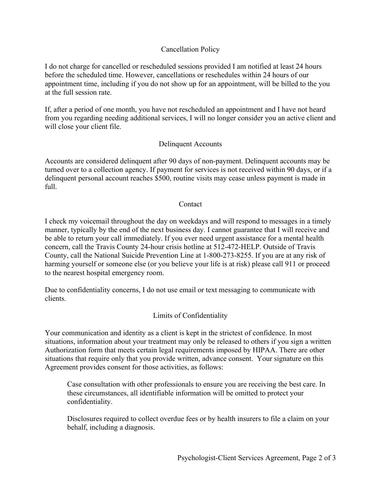### Cancellation Policy

I do not charge for cancelled or rescheduled sessions provided I am notified at least 24 hours before the scheduled time. However, cancellations or reschedules within 24 hours of our appointment time, including if you do not show up for an appointment, will be billed to the you at the full session rate.

If, after a period of one month, you have not rescheduled an appointment and I have not heard from you regarding needing additional services, I will no longer consider you an active client and will close your client file.

### Delinquent Accounts

Accounts are considered delinquent after 90 days of non-payment. Delinquent accounts may be turned over to a collection agency. If payment for services is not received within 90 days, or if a delinquent personal account reaches \$500, routine visits may cease unless payment is made in full.

#### **Contact**

I check my voicemail throughout the day on weekdays and will respond to messages in a timely manner, typically by the end of the next business day. I cannot guarantee that I will receive and be able to return your call immediately. If you ever need urgent assistance for a mental health concern, call the Travis County 24-hour crisis hotline at 512-472-HELP. Outside of Travis County, call the National Suicide Prevention Line at 1-800-273-8255. If you are at any risk of harming yourself or someone else (or you believe your life is at risk) please call 911 or proceed to the nearest hospital emergency room.

Due to confidentiality concerns, I do not use email or text messaging to communicate with clients.

### Limits of Confidentiality

Your communication and identity as a client is kept in the strictest of confidence. In most situations, information about your treatment may only be released to others if you sign a written Authorization form that meets certain legal requirements imposed by HIPAA. There are other situations that require only that you provide written, advance consent. Your signature on this Agreement provides consent for those activities, as follows:

Case consultation with other professionals to ensure you are receiving the best care. In these circumstances, all identifiable information will be omitted to protect your confidentiality.

Disclosures required to collect overdue fees or by health insurers to file a claim on your behalf, including a diagnosis.